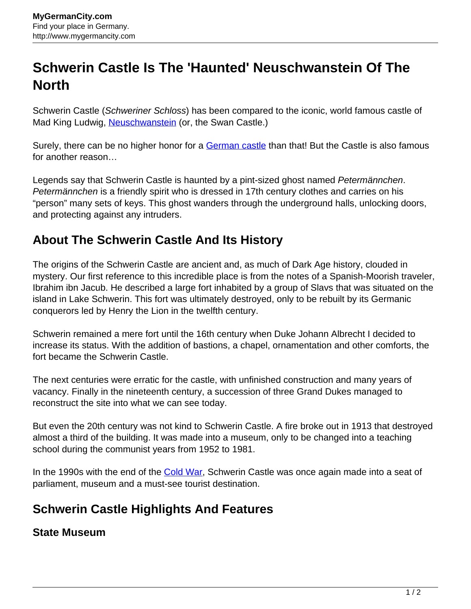# **Schwerin Castle Is The 'Haunted' Neuschwanstein Of The North**

Schwerin Castle (Schweriner Schloss) has been compared to the iconic, world famous castle of Mad King Ludwig, [Neuschwanstein](http://www.mygermancity.com/neuschwanstein-castle) (or, the Swan Castle.)

Surely, there can be no higher honor for a [German castle](http://www.mygermancity.com/german-castles) than that! But the Castle is also famous for another reason…

Legends say that Schwerin Castle is haunted by a pint-sized ghost named Petermännchen. Petermännchen is a friendly spirit who is dressed in 17th century clothes and carries on his "person" many sets of keys. This ghost wanders through the underground halls, unlocking doors, and protecting against any intruders.

# **About The Schwerin Castle And Its History**

The origins of the Schwerin Castle are ancient and, as much of Dark Age history, clouded in mystery. Our first reference to this incredible place is from the notes of a Spanish-Moorish traveler, Ibrahim ibn Jacub. He described a large fort inhabited by a group of Slavs that was situated on the island in Lake Schwerin. This fort was ultimately destroyed, only to be rebuilt by its Germanic conquerors led by Henry the Lion in the twelfth century.

Schwerin remained a mere fort until the 16th century when Duke Johann Albrecht I decided to increase its status. With the addition of bastions, a chapel, ornamentation and other comforts, the fort became the Schwerin Castle.

The next centuries were erratic for the castle, with unfinished construction and many years of vacancy. Finally in the nineteenth century, a succession of three Grand Dukes managed to reconstruct the site into what we can see today.

But even the 20th century was not kind to Schwerin Castle. A fire broke out in 1913 that destroyed almost a third of the building. It was made into a museum, only to be changed into a teaching school during the communist years from 1952 to 1981.

In the 1990s with the end of the [Cold War](http://www.mygermancity.com/cold-war), Schwerin Castle was once again made into a seat of parliament, museum and a must-see tourist destination.

# **Schwerin Castle Highlights And Features**

### **State Museum**